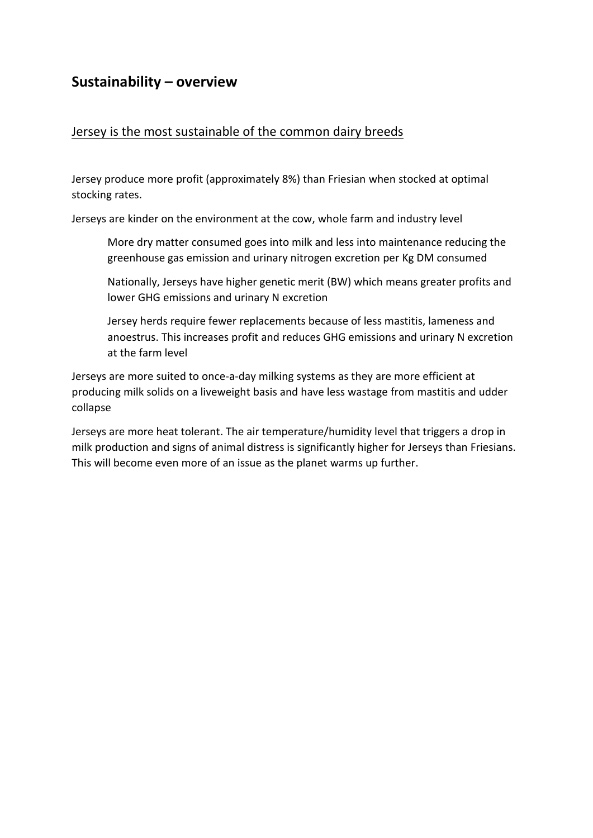# **Sustainability – overview**

#### Jersey is the most sustainable of the common dairy breeds

Jersey produce more profit (approximately 8%) than Friesian when stocked at optimal stocking rates.

Jerseys are kinder on the environment at the cow, whole farm and industry level

More dry matter consumed goes into milk and less into maintenance reducing the greenhouse gas emission and urinary nitrogen excretion per Kg DM consumed

Nationally, Jerseys have higher genetic merit (BW) which means greater profits and lower GHG emissions and urinary N excretion

Jersey herds require fewer replacements because of less mastitis, lameness and anoestrus. This increases profit and reduces GHG emissions and urinary N excretion at the farm level

Jerseys are more suited to once-a-day milking systems as they are more efficient at producing milk solids on a liveweight basis and have less wastage from mastitis and udder collapse

Jerseys are more heat tolerant. The air temperature/humidity level that triggers a drop in milk production and signs of animal distress is significantly higher for Jerseys than Friesians. This will become even more of an issue as the planet warms up further.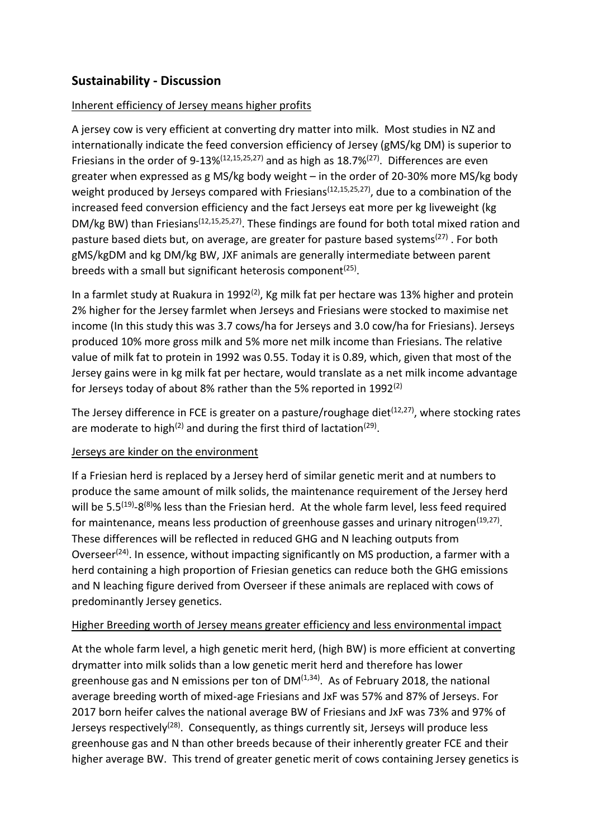## **Sustainability - Discussion**

#### Inherent efficiency of Jersey means higher profits

A jersey cow is very efficient at converting dry matter into milk. Most studies in NZ and internationally indicate the feed conversion efficiency of Jersey (gMS/kg DM) is superior to Friesians in the order of 9-13% $(12,15,25,27)$  and as high as 18.7% $(27)$ . Differences are even greater when expressed as g MS/kg body weight – in the order of 20-30% more MS/kg body weight produced by Jerseys compared with Friesians<sup>(12,15,25,27)</sup>, due to a combination of the increased feed conversion efficiency and the fact Jerseys eat more per kg liveweight (kg DM/kg BW) than Friesians<sup>(12,15,25,27)</sup>. These findings are found for both total mixed ration and pasture based diets but, on average, are greater for pasture based systems<sup>(27)</sup>. For both gMS/kgDM and kg DM/kg BW, JXF animals are generally intermediate between parent breeds with a small but significant heterosis component<sup>(25)</sup>.

In a farmlet study at Ruakura in 1992<sup>(2)</sup>, Kg milk fat per hectare was 13% higher and protein 2% higher for the Jersey farmlet when Jerseys and Friesians were stocked to maximise net income (In this study this was 3.7 cows/ha for Jerseys and 3.0 cow/ha for Friesians). Jerseys produced 10% more gross milk and 5% more net milk income than Friesians. The relative value of milk fat to protein in 1992 was 0.55. Today it is 0.89, which, given that most of the Jersey gains were in kg milk fat per hectare, would translate as a net milk income advantage for Jerseys today of about 8% rather than the 5% reported in 1992<sup>(2)</sup>

The Jersey difference in FCE is greater on a pasture/roughage diet<sup>(12,27)</sup>, where stocking rates are moderate to high<sup>(2)</sup> and during the first third of lactation<sup>(29)</sup>.

#### Jerseys are kinder on the environment

If a Friesian herd is replaced by a Jersey herd of similar genetic merit and at numbers to produce the same amount of milk solids, the maintenance requirement of the Jersey herd will be 5.5<sup>(19)</sup>-8<sup>(8)</sup>% less than the Friesian herd. At the whole farm level, less feed required for maintenance, means less production of greenhouse gasses and urinary nitrogen<sup>(19,27)</sup>. These differences will be reflected in reduced GHG and N leaching outputs from Overseer<sup>(24)</sup>. In essence, without impacting significantly on MS production, a farmer with a herd containing a high proportion of Friesian genetics can reduce both the GHG emissions and N leaching figure derived from Overseer if these animals are replaced with cows of predominantly Jersey genetics.

#### Higher Breeding worth of Jersey means greater efficiency and less environmental impact

At the whole farm level, a high genetic merit herd, (high BW) is more efficient at converting drymatter into milk solids than a low genetic merit herd and therefore has lower greenhouse gas and N emissions per ton of  $DM<sup>(1,34)</sup>$ . As of February 2018, the national average breeding worth of mixed-age Friesians and JxF was 57% and 87% of Jerseys. For 2017 born heifer calves the national average BW of Friesians and JxF was 73% and 97% of Jerseys respectively<sup>(28)</sup>. Consequently, as things currently sit, Jerseys will produce less greenhouse gas and N than other breeds because of their inherently greater FCE and their higher average BW. This trend of greater genetic merit of cows containing Jersey genetics is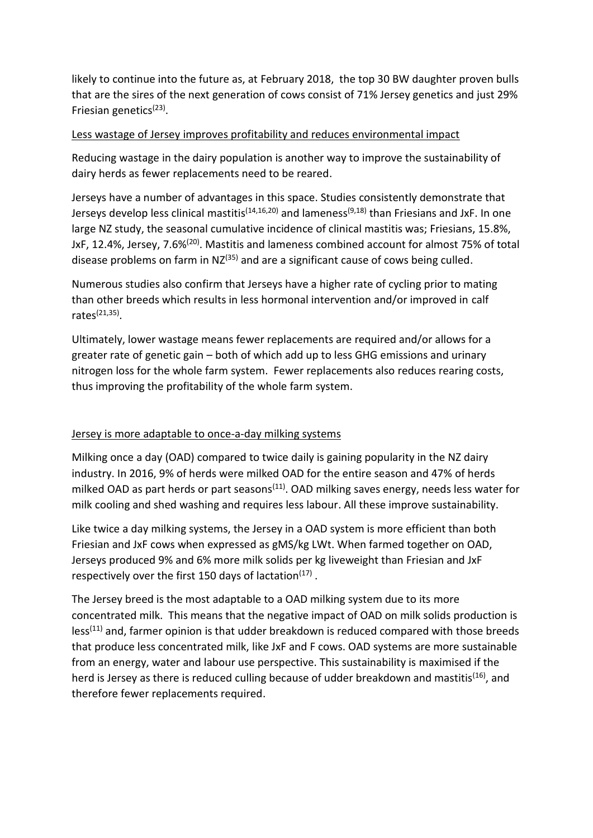likely to continue into the future as, at February 2018, the top 30 BW daughter proven bulls that are the sires of the next generation of cows consist of 71% Jersey genetics and just 29% Friesian genetics<sup>(23)</sup>.

#### Less wastage of Jersey improves profitability and reduces environmental impact

Reducing wastage in the dairy population is another way to improve the sustainability of dairy herds as fewer replacements need to be reared.

Jerseys have a number of advantages in this space. Studies consistently demonstrate that Jerseys develop less clinical mastitis<sup>(14,16,20)</sup> and lameness<sup>(9,18)</sup> than Friesians and JxF. In one large NZ study, the seasonal cumulative incidence of clinical mastitis was; Friesians, 15.8%, JxF, 12.4%, Jersey, 7.6%<sup>(20)</sup>. Mastitis and lameness combined account for almost 75% of total disease problems on farm in  $NZ^{(35)}$  and are a significant cause of cows being culled.

Numerous studies also confirm that Jerseys have a higher rate of cycling prior to mating than other breeds which results in less hormonal intervention and/or improved in calf rates<sup>(21,35)</sup>.

Ultimately, lower wastage means fewer replacements are required and/or allows for a greater rate of genetic gain – both of which add up to less GHG emissions and urinary nitrogen loss for the whole farm system. Fewer replacements also reduces rearing costs, thus improving the profitability of the whole farm system.

#### Jersey is more adaptable to once-a-day milking systems

Milking once a day (OAD) compared to twice daily is gaining popularity in the NZ dairy industry. In 2016, 9% of herds were milked OAD for the entire season and 47% of herds milked OAD as part herds or part seasons<sup> $(11)$ </sup>. OAD milking saves energy, needs less water for milk cooling and shed washing and requires less labour. All these improve sustainability.

Like twice a day milking systems, the Jersey in a OAD system is more efficient than both Friesian and JxF cows when expressed as gMS/kg LWt. When farmed together on OAD, Jerseys produced 9% and 6% more milk solids per kg liveweight than Friesian and JxF respectively over the first 150 days of lactation $(17)$ .

The Jersey breed is the most adaptable to a OAD milking system due to its more concentrated milk. This means that the negative impact of OAD on milk solids production is  $less<sup>(11)</sup>$  and, farmer opinion is that udder breakdown is reduced compared with those breeds that produce less concentrated milk, like JxF and F cows. OAD systems are more sustainable from an energy, water and labour use perspective. This sustainability is maximised if the herd is Jersey as there is reduced culling because of udder breakdown and mastitis<sup>(16)</sup>, and therefore fewer replacements required.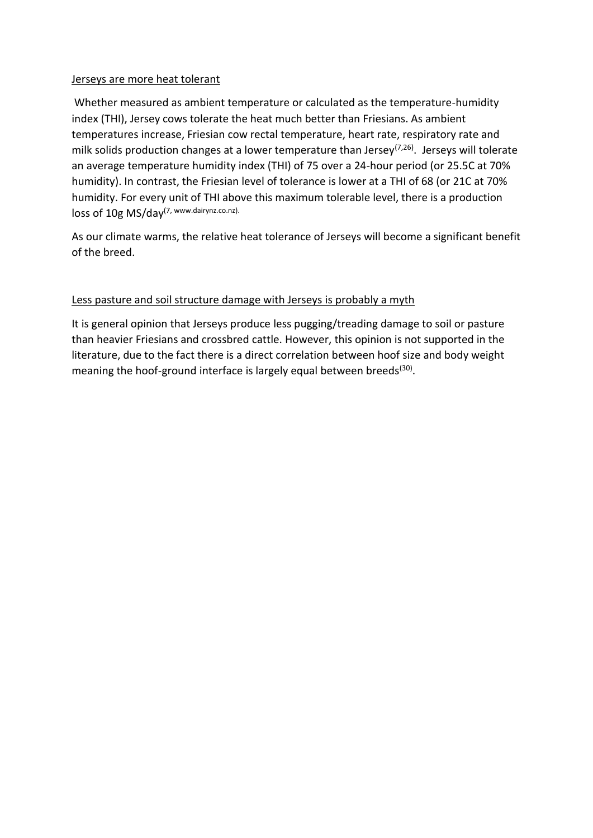#### Jerseys are more heat tolerant

Whether measured as ambient temperature or calculated as the temperature-humidity index (THI), Jersey cows tolerate the heat much better than Friesians. As ambient temperatures increase, Friesian cow rectal temperature, heart rate, respiratory rate and milk solids production changes at a lower temperature than Jersey<sup>(7,26)</sup>. Jerseys will tolerate an average temperature humidity index (THI) of 75 over a 24-hour period (or 25.5C at 70% humidity). In contrast, the Friesian level of tolerance is lower at a THI of 68 (or 21C at 70% humidity. For every unit of THI above this maximum tolerable level, there is a production loss of 10g MS/day(7, www.dairynz.co.nz).

As our climate warms, the relative heat tolerance of Jerseys will become a significant benefit of the breed.

#### Less pasture and soil structure damage with Jerseys is probably a myth

It is general opinion that Jerseys produce less pugging/treading damage to soil or pasture than heavier Friesians and crossbred cattle. However, this opinion is not supported in the literature, due to the fact there is a direct correlation between hoof size and body weight meaning the hoof-ground interface is largely equal between breeds<sup>(30)</sup>.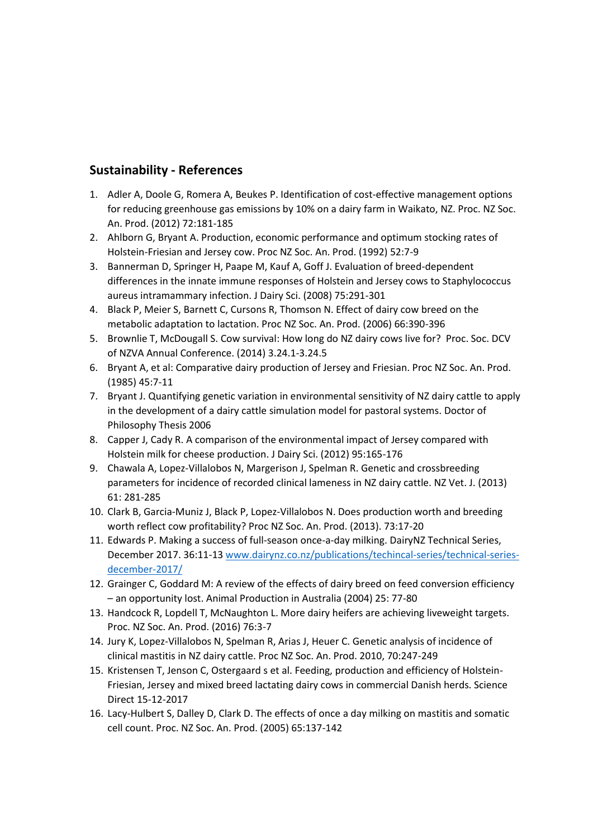### **Sustainability - References**

- 1. Adler A, Doole G, Romera A, Beukes P. Identification of cost-effective management options for reducing greenhouse gas emissions by 10% on a dairy farm in Waikato, NZ. Proc. NZ Soc. An. Prod. (2012) 72:181-185
- 2. Ahlborn G, Bryant A. Production, economic performance and optimum stocking rates of Holstein-Friesian and Jersey cow. Proc NZ Soc. An. Prod. (1992) 52:7-9
- 3. Bannerman D, Springer H, Paape M, Kauf A, Goff J. Evaluation of breed-dependent differences in the innate immune responses of Holstein and Jersey cows to Staphylococcus aureus intramammary infection. J Dairy Sci. (2008) 75:291-301
- 4. Black P, Meier S, Barnett C, Cursons R, Thomson N. Effect of dairy cow breed on the metabolic adaptation to lactation. Proc NZ Soc. An. Prod. (2006) 66:390-396
- 5. Brownlie T, McDougall S. Cow survival: How long do NZ dairy cows live for? Proc. Soc. DCV of NZVA Annual Conference. (2014) 3.24.1-3.24.5
- 6. Bryant A, et al: Comparative dairy production of Jersey and Friesian. Proc NZ Soc. An. Prod. (1985) 45:7-11
- 7. Bryant J. Quantifying genetic variation in environmental sensitivity of NZ dairy cattle to apply in the development of a dairy cattle simulation model for pastoral systems. Doctor of Philosophy Thesis 2006
- 8. Capper J, Cady R. A comparison of the environmental impact of Jersey compared with Holstein milk for cheese production. J Dairy Sci. (2012) 95:165-176
- 9. Chawala A, Lopez-Villalobos N, Margerison J, Spelman R. Genetic and crossbreeding parameters for incidence of recorded clinical lameness in NZ dairy cattle. NZ Vet. J. (2013) 61: 281-285
- 10. Clark B, Garcia-Muniz J, Black P, Lopez-Villalobos N. Does production worth and breeding worth reflect cow profitability? Proc NZ Soc. An. Prod. (2013). 73:17-20
- 11. Edwards P. Making a success of full-season once-a-day milking. DairyNZ Technical Series, December 2017. 36:11-1[3 www.dairynz.co.nz/publications/techincal-series/technical-series](http://www.dairynz.co.nz/publications/techincal-series/technical-series-december-2017/)[december-2017/](http://www.dairynz.co.nz/publications/techincal-series/technical-series-december-2017/)
- 12. Grainger C, Goddard M: A review of the effects of dairy breed on feed conversion efficiency – an opportunity lost. Animal Production in Australia (2004) 25: 77-80
- 13. Handcock R, Lopdell T, McNaughton L. More dairy heifers are achieving liveweight targets. Proc. NZ Soc. An. Prod. (2016) 76:3-7
- 14. Jury K, Lopez-Villalobos N, Spelman R, Arias J, Heuer C. Genetic analysis of incidence of clinical mastitis in NZ dairy cattle. Proc NZ Soc. An. Prod. 2010, 70:247-249
- 15. Kristensen T, Jenson C, Ostergaard s et al. Feeding, production and efficiency of Holstein-Friesian, Jersey and mixed breed lactating dairy cows in commercial Danish herds. Science Direct 15-12-2017
- 16. Lacy-Hulbert S, Dalley D, Clark D. The effects of once a day milking on mastitis and somatic cell count. Proc. NZ Soc. An. Prod. (2005) 65:137-142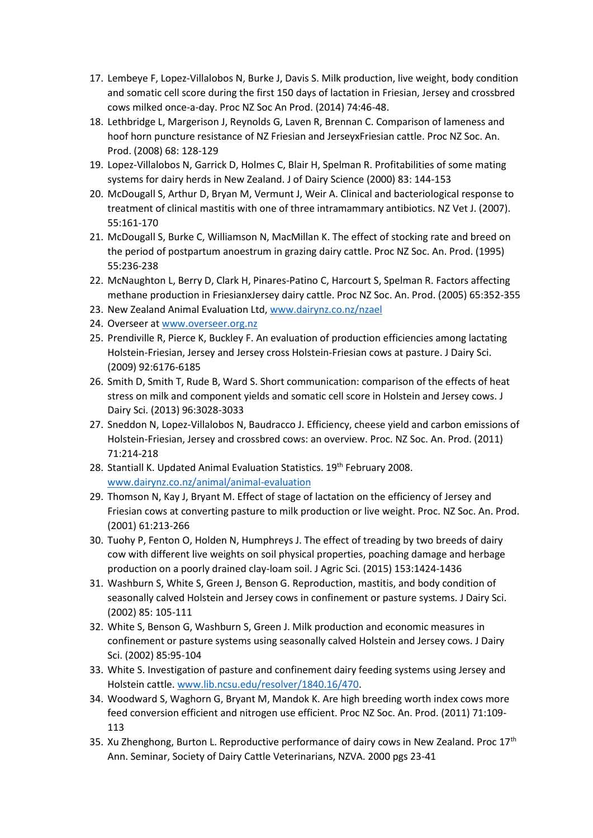- 17. Lembeye F, Lopez-Villalobos N, Burke J, Davis S. Milk production, live weight, body condition and somatic cell score during the first 150 days of lactation in Friesian, Jersey and crossbred cows milked once-a-day. Proc NZ Soc An Prod. (2014) 74:46-48.
- 18. Lethbridge L, Margerison J, Reynolds G, Laven R, Brennan C. Comparison of lameness and hoof horn puncture resistance of NZ Friesian and JerseyxFriesian cattle. Proc NZ Soc. An. Prod. (2008) 68: 128-129
- 19. Lopez-Villalobos N, Garrick D, Holmes C, Blair H, Spelman R. Profitabilities of some mating systems for dairy herds in New Zealand. J of Dairy Science (2000) 83: 144-153
- 20. McDougall S, Arthur D, Bryan M, Vermunt J, Weir A. Clinical and bacteriological response to treatment of clinical mastitis with one of three intramammary antibiotics. NZ Vet J. (2007). 55:161-170
- 21. McDougall S, Burke C, Williamson N, MacMillan K. The effect of stocking rate and breed on the period of postpartum anoestrum in grazing dairy cattle. Proc NZ Soc. An. Prod. (1995) 55:236-238
- 22. McNaughton L, Berry D, Clark H, Pinares-Patino C, Harcourt S, Spelman R. Factors affecting methane production in FriesianxJersey dairy cattle. Proc NZ Soc. An. Prod. (2005) 65:352-355
- 23. New Zealand Animal Evaluation Ltd, [www.dairynz.co.nz/nzael](http://www.dairynz.co.nz/nzael)
- 24. Overseer a[t www.overseer.org.nz](http://www.overseer.org.nz/)
- 25. Prendiville R, Pierce K, Buckley F. An evaluation of production efficiencies among lactating Holstein-Friesian, Jersey and Jersey cross Holstein-Friesian cows at pasture. J Dairy Sci. (2009) 92:6176-6185
- 26. Smith D, Smith T, Rude B, Ward S. Short communication: comparison of the effects of heat stress on milk and component yields and somatic cell score in Holstein and Jersey cows. J Dairy Sci. (2013) 96:3028-3033
- 27. Sneddon N, Lopez-Villalobos N, Baudracco J. Efficiency, cheese yield and carbon emissions of Holstein-Friesian, Jersey and crossbred cows: an overview. Proc. NZ Soc. An. Prod. (2011) 71:214-218
- 28. Stantiall K. Updated Animal Evaluation Statistics. 19th February 2008. [www.dairynz.co.nz/animal/animal-evaluation](http://www.dairynz.co.nz/animal/animal-evaluation)
- 29. Thomson N, Kay J, Bryant M. Effect of stage of lactation on the efficiency of Jersey and Friesian cows at converting pasture to milk production or live weight. Proc. NZ Soc. An. Prod. (2001) 61:213-266
- 30. Tuohy P, Fenton O, Holden N, Humphreys J. The effect of treading by two breeds of dairy cow with different live weights on soil physical properties, poaching damage and herbage production on a poorly drained clay-loam soil. J Agric Sci. (2015) 153:1424-1436
- 31. Washburn S, White S, Green J, Benson G. Reproduction, mastitis, and body condition of seasonally calved Holstein and Jersey cows in confinement or pasture systems. J Dairy Sci. (2002) 85: 105-111
- 32. White S, Benson G, Washburn S, Green J. Milk production and economic measures in confinement or pasture systems using seasonally calved Holstein and Jersey cows. J Dairy Sci. (2002) 85:95-104
- 33. White S. Investigation of pasture and confinement dairy feeding systems using Jersey and Holstein cattle. [www.lib.ncsu.edu/resolver/1840.16/470.](http://www.lib.ncsu.edu/resolver/1840.16/470)
- 34. Woodward S, Waghorn G, Bryant M, Mandok K. Are high breeding worth index cows more feed conversion efficient and nitrogen use efficient. Proc NZ Soc. An. Prod. (2011) 71:109- 113
- 35. Xu Zhenghong, Burton L. Reproductive performance of dairy cows in New Zealand. Proc  $17<sup>th</sup>$ Ann. Seminar, Society of Dairy Cattle Veterinarians, NZVA. 2000 pgs 23-41